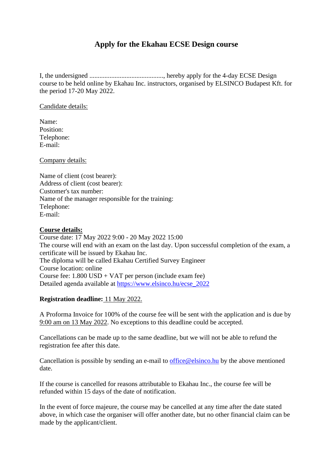## **Apply for the Ekahau ECSE Design course**

I, the undersigned ............................................, hereby apply for the 4-day ECSE Design course to be held online by Ekahau Inc. instructors, organised by ELSINCO Budapest Kft. for the period 17-20 May 2022.

Candidate details:

Name: Position: Telephone: E-mail:

Company details:

Name of client (cost bearer): Address of client (cost bearer): Customer's tax number: Name of the manager responsible for the training: Telephone: E-mail:

## **Course details:**

Course date: 17 May 2022 9:00 - 20 May 2022 15:00 The course will end with an exam on the last day. Upon successful completion of the exam, a certificate will be issued by Ekahau Inc. The diploma will be called Ekahau Certified Survey Engineer Course location: online Course fee: 1.800 USD + VAT per person (include exam fee) Detailed agenda available at [https://www.elsinco.hu/ecse\\_](https://www.elsinco.hu/ecse_2022)2022

## **Registration deadline:** 11 May 2022.

A Proforma Invoice for 100% of the course fee will be sent with the application and is due by 9:00 am on 13 May 2022. No exceptions to this deadline could be accepted.

Cancellations can be made up to the same deadline, but we will not be able to refund the registration fee after this date.

Cancellation is possible by sending an e-mail to [office@elsinco.hu](mailto:office@elsinco.hu) by the above mentioned date.

If the course is cancelled for reasons attributable to Ekahau Inc., the course fee will be refunded within 15 days of the date of notification.

In the event of force majeure, the course may be cancelled at any time after the date stated above, in which case the organiser will offer another date, but no other financial claim can be made by the applicant/client.